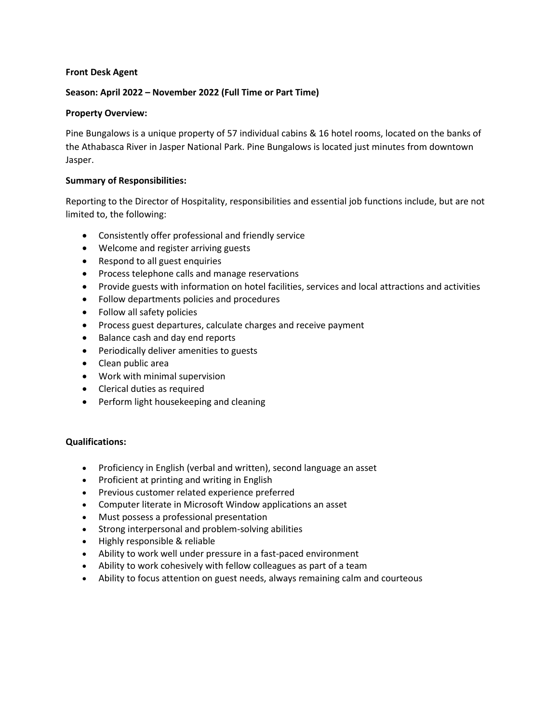## **Front Desk Agent**

## **Season: April 2022 – November 2022 (Full Time or Part Time)**

## **Property Overview:**

Pine Bungalows is a unique property of 57 individual cabins & 16 hotel rooms, located on the banks of the Athabasca River in Jasper National Park. Pine Bungalows is located just minutes from downtown Jasper.

#### **Summary of Responsibilities:**

Reporting to the Director of Hospitality, responsibilities and essential job functions include, but are not limited to, the following:

- Consistently offer professional and friendly service
- Welcome and register arriving guests
- Respond to all guest enquiries
- Process telephone calls and manage reservations
- Provide guests with information on hotel facilities, services and local attractions and activities
- Follow departments policies and procedures
- Follow all safety policies
- Process guest departures, calculate charges and receive payment
- Balance cash and day end reports
- Periodically deliver amenities to guests
- Clean public area
- Work with minimal supervision
- Clerical duties as required
- Perform light housekeeping and cleaning

# **Qualifications:**

- Proficiency in English (verbal and written), second language an asset
- Proficient at printing and writing in English
- Previous customer related experience preferred
- Computer literate in Microsoft Window applications an asset
- Must possess a professional presentation
- Strong interpersonal and problem-solving abilities
- Highly responsible & reliable
- Ability to work well under pressure in a fast-paced environment
- Ability to work cohesively with fellow colleagues as part of a team
- Ability to focus attention on guest needs, always remaining calm and courteous